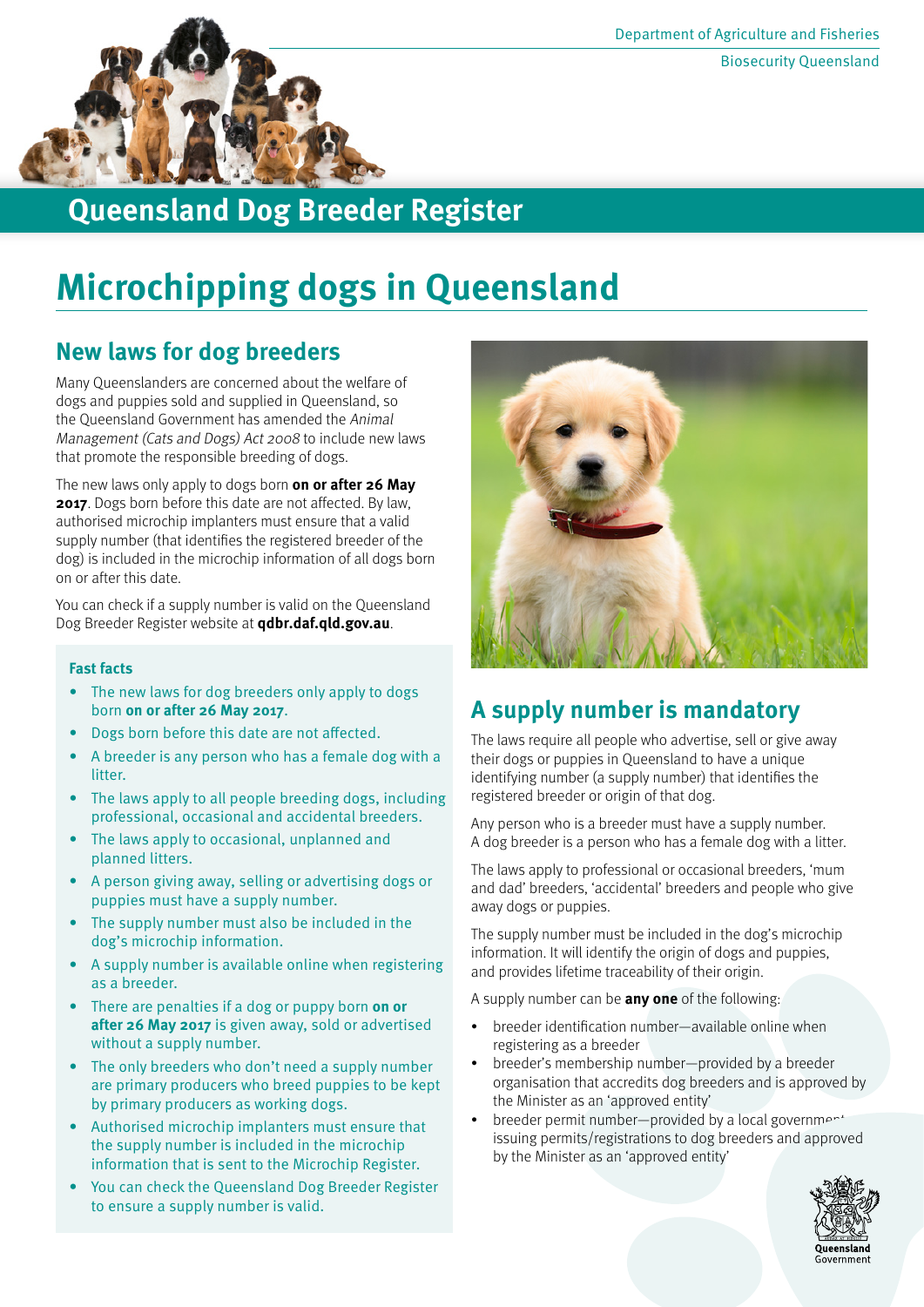

## **Queensland Dog Breeder Register**

# **Microchipping dogs in Queensland**

### **New laws for dog breeders**

Many Queenslanders are concerned about the welfare of dogs and puppies sold and supplied in Queensland, so the Queensland Government has amended the Animal Management (Cats and Dogs) Act 2008 to include new laws that promote the responsible breeding of dogs.

The new laws only apply to dogs born **on or after 26 May 2017**. Dogs born before this date are not affected. By law, authorised microchip implanters must ensure that a valid supply number (that identifies the registered breeder of the dog) is included in the microchip information of all dogs born on or after this date.

You can check if a supply number is valid on the Queensland Dog Breeder Register website at **qdbr.daf.qld.gov.au**.

#### **Fast facts**

- The new laws for dog breeders only apply to dogs born **on or after 26 May 2017**.
- • Dogs born before this date are not affected.
- A breeder is any person who has a female dog with a litter.
- The laws apply to all people breeding dogs, including professional, occasional and accidental breeders.
- The laws apply to occasional, unplanned and planned litters.
- • A person giving away, selling or advertising dogs or puppies must have a supply number.
- The supply number must also be included in the dog's microchip information.
- A supply number is available online when registering as a breeder.
- There are penalties if a dog or puppy born **on or after 26 May 2017** is given away, sold or advertised without a supply number.
- The only breeders who don't need a supply number are primary producers who breed puppies to be kept by primary producers as working dogs.
- Authorised microchip implanters must ensure that the supply number is included in the microchip information that is sent to the Microchip Register.
- You can check the Queensland Dog Breeder Register to ensure a supply number is valid.



### **A supply number is mandatory**

The laws require all people who advertise, sell or give away their dogs or puppies in Queensland to have a unique identifying number (a supply number) that identifies the registered breeder or origin of that dog.

Any person who is a breeder must have a supply number. A dog breeder is a person who has a female dog with a litter.

The laws apply to professional or occasional breeders, 'mum and dad' breeders, 'accidental' breeders and people who give away dogs or puppies.

The supply number must be included in the dog's microchip information. It will identify the origin of dogs and puppies, and provides lifetime traceability of their origin.

A supply number can be **any one** of the following:

- breeder identification number—available online when registering as a breeder
- breeder's membership number—provided by a breeder organisation that accredits dog breeders and is approved by the Minister as an 'approved entity'
- breeder permit number—provided by a local government by the Minister as an 'approved entity' issuing permits/registrations to dog breeders and approved